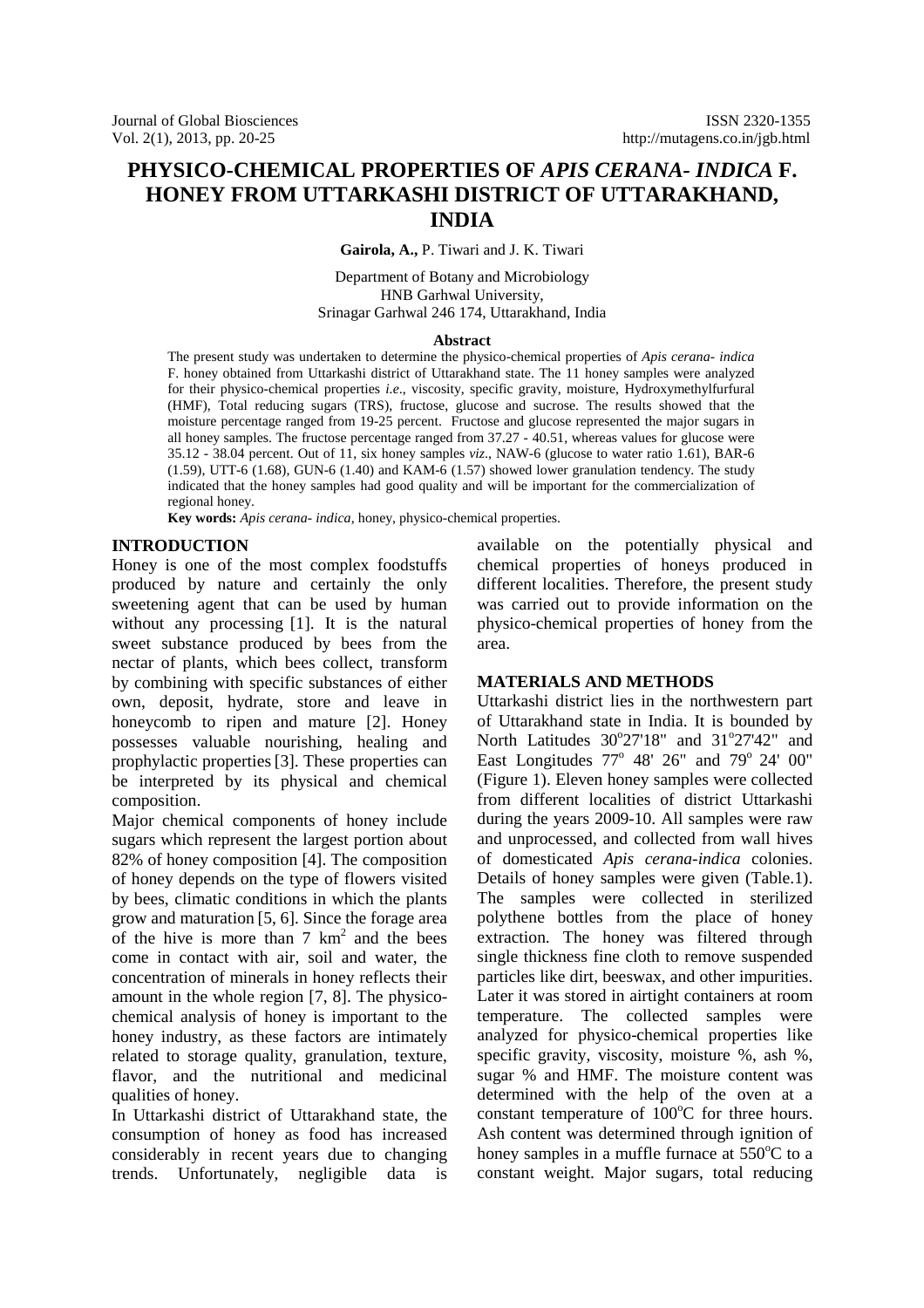# **PHYSICO-CHEMICAL PROPERTIES OF** *APIS CERANA- INDICA* **F. HONEY FROM UTTARKASHI DISTRICT OF UTTARAKHAND, INDIA**

**Gairola, A.,** P. Tiwari and J. K. Tiwari

Department of Botany and Microbiology HNB Garhwal University, Srinagar Garhwal 246 174, Uttarakhand, India

#### **Abstract**

The present study was undertaken to determine the physico-chemical properties of *Apis cerana- indica* F. honey obtained from Uttarkashi district of Uttarakhand state. The 11 honey samples were analyzed for their physico-chemical properties *i.e*., viscosity, specific gravity, moisture, Hydroxymethylfurfural (HMF), Total reducing sugars (TRS), fructose, glucose and sucrose. The results showed that the moisture percentage ranged from 19-25 percent. Fructose and glucose represented the major sugars in all honey samples. The fructose percentage ranged from 37.27 - 40.51, whereas values for glucose were 35.12 - 38.04 percent. Out of 11, six honey samples *viz*., NAW-6 (glucose to water ratio 1.61), BAR-6  $(1.59)$ , UTT-6  $(1.68)$ , GUN-6  $(1.40)$  and KAM-6  $(1.57)$  showed lower granulation tendency. The study indicated that the honey samples had good quality and will be important for the commercialization of regional honey.

**Key words:** *Apis cerana- indica,* honey, physico-chemical properties.

#### **INTRODUCTION**

Honey is one of the most complex foodstuffs produced by nature and certainly the only sweetening agent that can be used by human without any processing [1]. It is the natural sweet substance produced by bees from the nectar of plants, which bees collect, transform by combining with specific substances of either own, deposit, hydrate, store and leave in honeycomb to ripen and mature [2]. Honey possesses valuable nourishing, healing and prophylactic properties[3]. These properties can be interpreted by its physical and chemical composition.

Major chemical components of honey include sugars which represent the largest portion about 82% of honey composition [4]. The composition of honey depends on the type of flowers visited by bees, climatic conditions in which the plants grow and maturation [5, 6]. Since the forage area of the hive is more than  $7 \text{ km}^2$  and the bees come in contact with air, soil and water, the concentration of minerals in honey reflects their amount in the whole region [7, 8]. The physicochemical analysis of honey is important to the honey industry, as these factors are intimately related to storage quality, granulation, texture, flavor, and the nutritional and medicinal qualities of honey.

In Uttarkashi district of Uttarakhand state, the consumption of honey as food has increased considerably in recent years due to changing trends. Unfortunately, negligible data is available on the potentially physical and chemical properties of honeys produced in different localities. Therefore, the present study was carried out to provide information on the physico-chemical properties of honey from the area.

#### **MATERIALS AND METHODS**

Uttarkashi district lies in the northwestern part of Uttarakhand state in India. It is bounded by North Latitudes 30°27'18" and 31°27'42" and East Longitudes  $77^\circ$  48'  $26''$  and  $79^\circ$   $24'$  00" (Figure 1). Eleven honey samples were collected from different localities of district Uttarkashi during the years 2009-10. All samples were raw and unprocessed, and collected from wall hives of domesticated *Apis cerana-indica* colonies. Details of honey samples were given (Table.1). The samples were collected in sterilized polythene bottles from the place of honey extraction. The honey was filtered through single thickness fine cloth to remove suspended particles like dirt, beeswax, and other impurities. Later it was stored in airtight containers at room temperature. The collected samples were analyzed for physico-chemical properties like specific gravity, viscosity, moisture %, ash %, sugar % and HMF. The moisture content was determined with the help of the oven at a constant temperature of  $100^{\circ}$ C for three hours. Ash content was determined through ignition of honey samples in a muffle furnace at  $550^{\circ}$ C to a constant weight. Major sugars, total reducing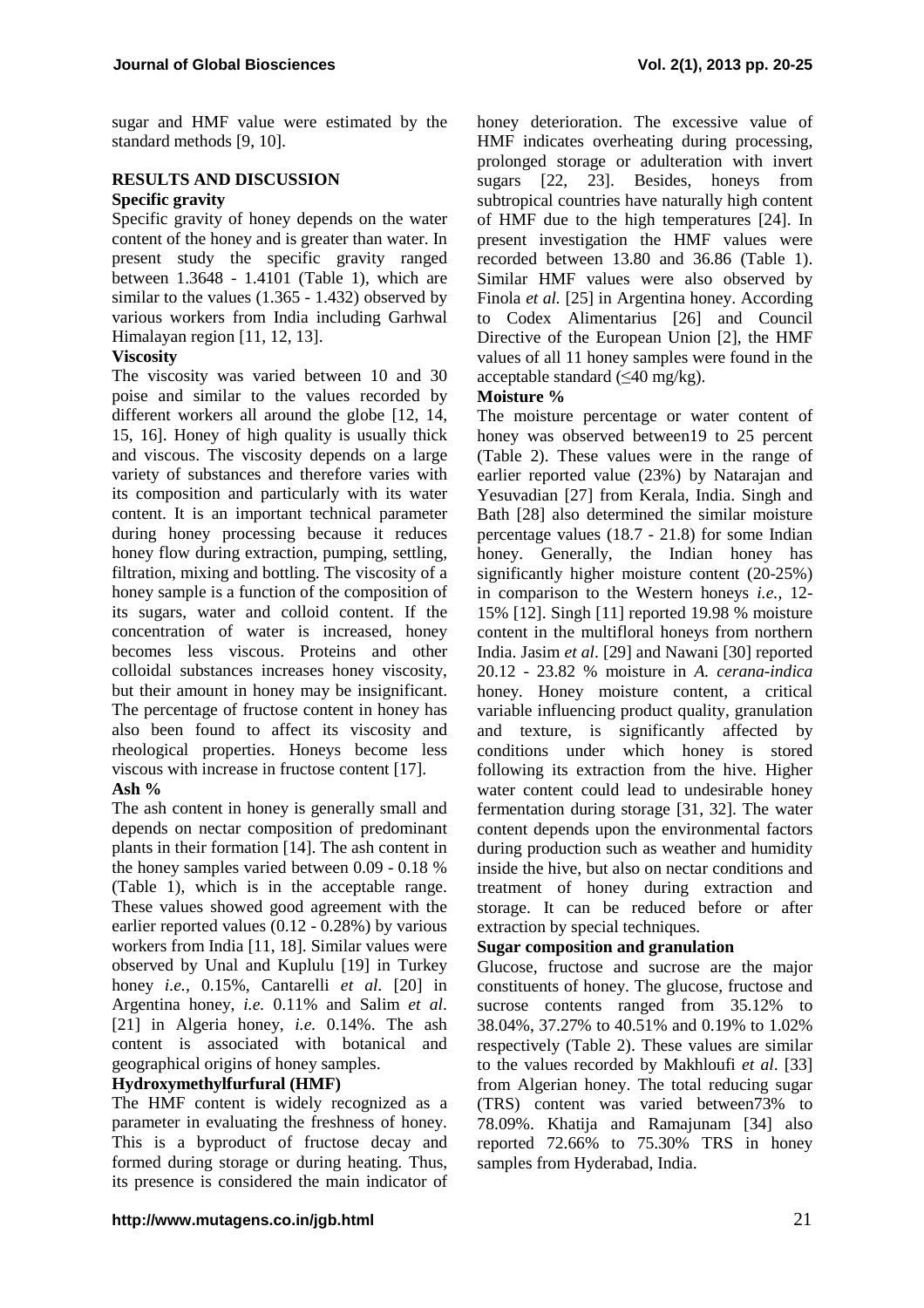sugar and HMF value were estimated by the standard methods [9, 10].

## **RESULTS AND DISCUSSION Specific gravity**

Specific gravity of honey depends on the water content of the honey and is greater than water. In present study the specific gravity ranged between 1.3648 - 1.4101 (Table 1), which are similar to the values (1.365 - 1.432) observed by various workers from India including Garhwal Himalayan region [11, 12, 13].

### **Viscosity**

The viscosity was varied between 10 and 30 poise and similar to the values recorded by different workers all around the globe [12, 14, 15, 16]. Honey of high quality is usually thick and viscous. The viscosity depends on a large variety of substances and therefore varies with its composition and particularly with its water content. It is an important technical parameter during honey processing because it reduces honey flow during extraction, pumping, settling, filtration, mixing and bottling. The viscosity of a honey sample is a function of the composition of its sugars, water and colloid content. If the concentration of water is increased, honey becomes less viscous. Proteins and other colloidal substances increases honey viscosity, but their amount in honey may be insignificant. The percentage of fructose content in honey has also been found to affect its viscosity and rheological properties. Honeys become less viscous with increase in fructose content [17].

#### **Ash %**

The ash content in honey is generally small and depends on nectar composition of predominant plants in their formation [14]. The ash content in the honey samples varied between 0.09 - 0.18 % (Table 1), which is in the acceptable range. These values showed good agreement with the earlier reported values (0.12 - 0.28%) by various workers from India [11, 18]. Similar values were observed by Unal and Kuplulu [19] in Turkey honey *i.e.,* 0.15%, Cantarelli *et al.* [20] in Argentina honey, *i.e.* 0.11% and Salim *et al*. [21] in Algeria honey, *i.e.* 0.14%. The ash content is associated with botanical and geographical origins of honey samples.

#### **Hydroxymethylfurfural (HMF)**

The HMF content is widely recognized as a parameter in evaluating the freshness of honey. This is a byproduct of fructose decay and formed during storage or during heating. Thus, its presence is considered the main indicator of

honey deterioration. The excessive value of HMF indicates overheating during processing, prolonged storage or adulteration with invert sugars [22, 23]. Besides, honeys from subtropical countries have naturally high content of HMF due to the high temperatures [24]. In present investigation the HMF values were recorded between 13.80 and 36.86 (Table 1). Similar HMF values were also observed by Finola *et al.* [25] in Argentina honey. According to Codex Alimentarius [26] and Council Directive of the European Union [2], the HMF values of all 11 honey samples were found in the acceptable standard  $(\leq 40 \text{ mg/kg})$ .

### **Moisture %**

The moisture percentage or water content of honey was observed between 19 to 25 percent (Table 2). These values were in the range of earlier reported value (23%) by Natarajan and Yesuvadian [27] from Kerala, India. Singh and Bath [28] also determined the similar moisture percentage values (18.7 - 21.8) for some Indian honey. Generally, the Indian honey has significantly higher moisture content (20-25%) in comparison to the Western honeys *i.e.,* 12- 15% [12]. Singh [11] reported 19.98 % moisture content in the multifloral honeys from northern India. Jasim *et al*. [29] and Nawani [30] reported 20.12 - 23.82 % moisture in *A. cerana-indica*  honey*.* Honey moisture content, a critical variable influencing product quality, granulation and texture, is significantly affected by conditions under which honey is stored following its extraction from the hive. Higher water content could lead to undesirable honey fermentation during storage [31, 32]. The water content depends upon the environmental factors during production such as weather and humidity inside the hive, but also on nectar conditions and treatment of honey during extraction and storage. It can be reduced before or after extraction by special techniques.

#### **Sugar composi**t**ion and granulation**

Glucose, fructose and sucrose are the major constituents of honey. The glucose, fructose and sucrose contents ranged from 35.12% to 38.04%, 37.27% to 40.51% and 0.19% to 1.02% respectively (Table 2). These values are similar to the values recorded by Makhloufi *et al*. [33] from Algerian honey. The total reducing sugar (TRS) content was varied between73% to 78.09%. Khatija and Ramajunam [34] also reported 72.66% to 75.30% TRS in honey samples from Hyderabad, India.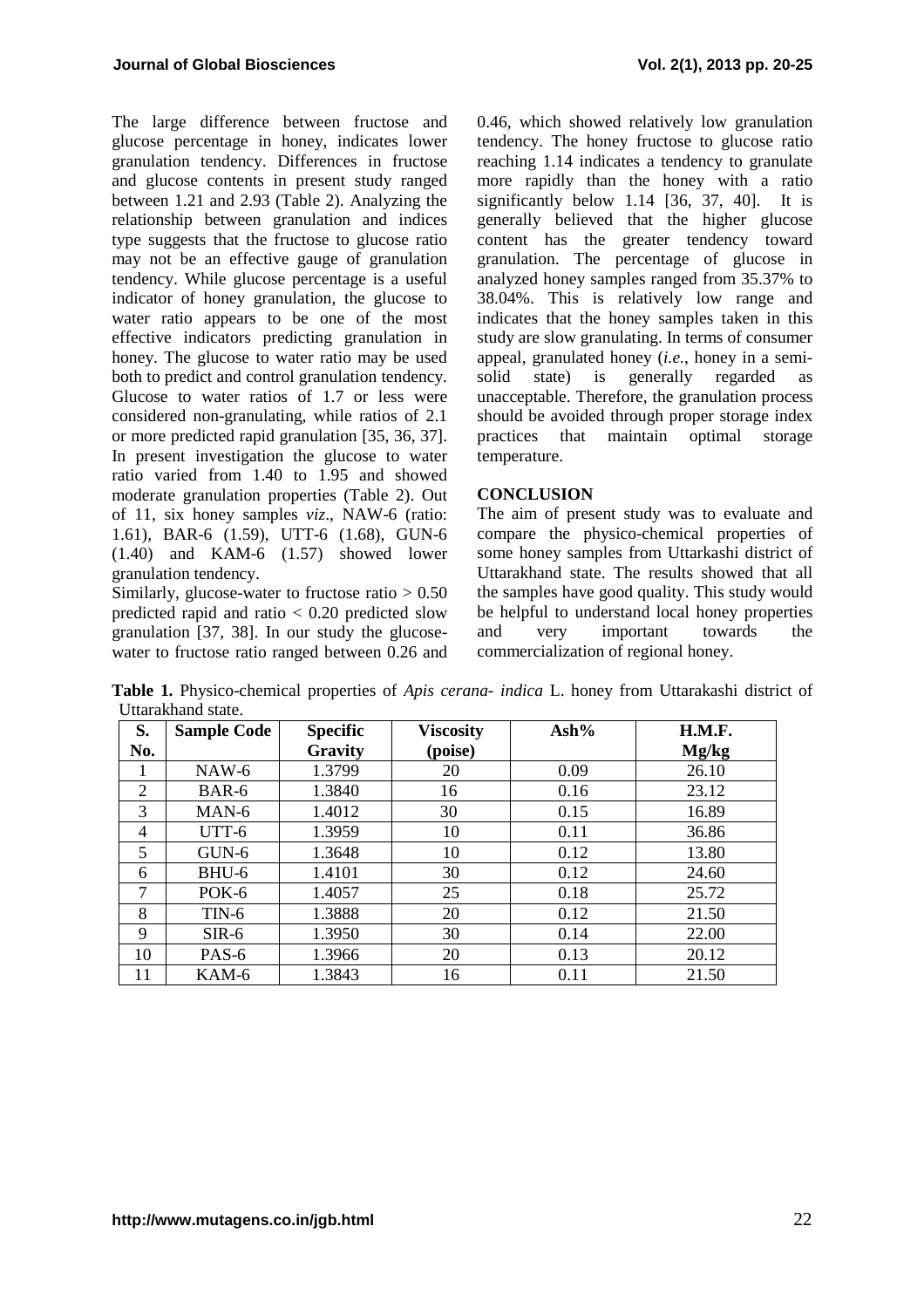The large difference between fructose and glucose percentage in honey, indicates lower granulation tendency. Differences in fructose and glucose contents in present study ranged between 1.21 and 2.93 (Table 2). Analyzing the relationship between granulation and indices type suggests that the fructose to glucose ratio may not be an effective gauge of granulation tendency. While glucose percentage is a useful indicator of honey granulation, the glucose to water ratio appears to be one of the most effective indicators predicting granulation in honey. The glucose to water ratio may be used both to predict and control granulation tendency. Glucose to water ratios of 1.7 or less were considered non-granulating, while ratios of 2.1 or more predicted rapid granulation [35, 36, 37]. In present investigation the glucose to water ratio varied from 1.40 to 1.95 and showed moderate granulation properties (Table 2). Out of 11, six honey samples *viz*., NAW-6 (ratio: 1.61), BAR-6 (1.59), UTT-6 (1.68), GUN-6 (1.40) and KAM-6 (1.57) showed lower granulation tendency.

Similarly, glucose-water to fructose ratio  $> 0.50$ predicted rapid and ratio < 0.20 predicted slow granulation [37, 38]. In our study the glucosewater to fructose ratio ranged between 0.26 and 0.46, which showed relatively low granulation tendency. The honey fructose to glucose ratio reaching 1.14 indicates a tendency to granulate more rapidly than the honey with a ratio significantly below 1.14 [36, 37, 40]. It is generally believed that the higher glucose content has the greater tendency toward granulation. The percentage of glucose in analyzed honey samples ranged from 35.37% to 38.04%. This is relatively low range and indicates that the honey samples taken in this study are slow granulating. In terms of consumer appeal, granulated honey (*i.e.*, honey in a semi-<br>solid state) is generally regarded as solid state) is generally regarded as unacceptable. Therefore, the granulation process should be avoided through proper storage index practices that maintain optimal storage temperature.

# **CONCLUSION**

The aim of present study was to evaluate and compare the physico-chemical properties of some honey samples from Uttarkashi district of Uttarakhand state. The results showed that all the samples have good quality. This study would be helpful to understand local honey properties and very important towards the commercialization of regional honey.

**Table 1.** Physico-chemical properties of *Apis cerana- indica* L. honey from Uttarakashi district of Uttarakhand state.

| S.  | <b>Sample Code</b> | <b>Specific</b> | <b>Viscosity</b> | $\mathbf{Ash\%}$ | H.M.F. |
|-----|--------------------|-----------------|------------------|------------------|--------|
| No. |                    | Gravity         | (poise)          |                  | Mg/kg  |
| 1   | $NAW-6$            | 1.3799          | 20               | 0.09             | 26.10  |
| 2   | BAR-6              | 1.3840          | 16               | 0.16             | 23.12  |
| 3   | MAN-6              | 1.4012          | 30               | 0.15             | 16.89  |
| 4   | UTT-6              | 1.3959          | 10               | 0.11             | 36.86  |
| 5   | GUN-6              | 1.3648          | 10               | 0.12             | 13.80  |
| 6   | BHU-6              | 1.4101          | 30               | 0.12             | 24.60  |
| 7   | POK-6              | 1.4057          | 25               | 0.18             | 25.72  |
| 8   | $TIN-6$            | 1.3888          | 20               | 0.12             | 21.50  |
| 9   | $SIR-6$            | 1.3950          | 30               | 0.14             | 22.00  |
| 10  | PAS-6              | 1.3966          | 20               | 0.13             | 20.12  |
| 11  | KAM-6              | 1.3843          | 16               | 0.11             | 21.50  |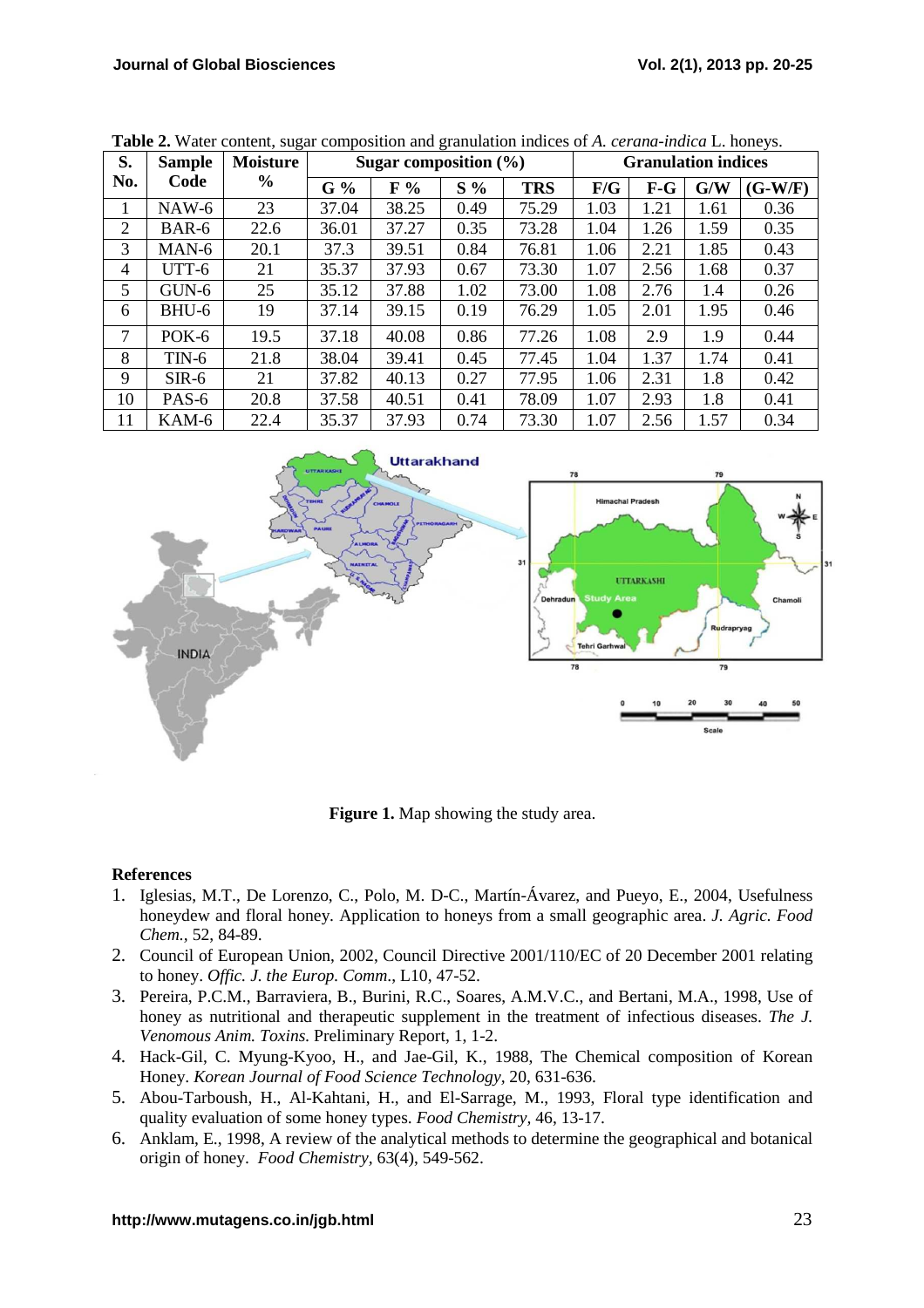| S.             | <b>Sample</b> | <b>Moisture</b> | Sugar composition $(\% )$ |       |       | <b>Granulation indices</b> |      |       |      |           |
|----------------|---------------|-----------------|---------------------------|-------|-------|----------------------------|------|-------|------|-----------|
| No.            | Code          | $\frac{6}{9}$   | G%                        | $F\%$ | $S\%$ | <b>TRS</b>                 | F/G  | $F-G$ | G/W  | $(G-W/F)$ |
|                | $NAW-6$       | 23              | 37.04                     | 38.25 | 0.49  | 75.29                      | 1.03 | 1.21  | 1.61 | 0.36      |
| $\overline{2}$ | BAR-6         | 22.6            | 36.01                     | 37.27 | 0.35  | 73.28                      | 1.04 | 1.26  | 1.59 | 0.35      |
| 3              | MAN-6         | 20.1            | 37.3                      | 39.51 | 0.84  | 76.81                      | 1.06 | 2.21  | 1.85 | 0.43      |
| 4              | UTT-6         | 21              | 35.37                     | 37.93 | 0.67  | 73.30                      | 1.07 | 2.56  | 1.68 | 0.37      |
| 5              | $GUN-6$       | 25              | 35.12                     | 37.88 | 1.02  | 73.00                      | 1.08 | 2.76  | 1.4  | 0.26      |
| 6              | BHU-6         | 19              | 37.14                     | 39.15 | 0.19  | 76.29                      | 1.05 | 2.01  | 1.95 | 0.46      |
| 7              | POK-6         | 19.5            | 37.18                     | 40.08 | 0.86  | 77.26                      | 1.08 | 2.9   | 1.9  | 0.44      |
| 8              | $TIN-6$       | 21.8            | 38.04                     | 39.41 | 0.45  | 77.45                      | 1.04 | 1.37  | 1.74 | 0.41      |
| 9              | $SIR-6$       | 21              | 37.82                     | 40.13 | 0.27  | 77.95                      | 1.06 | 2.31  | 1.8  | 0.42      |
| 10             | PAS-6         | 20.8            | 37.58                     | 40.51 | 0.41  | 78.09                      | 1.07 | 2.93  | 1.8  | 0.41      |
| 11             | KAM-6         | 22.4            | 35.37                     | 37.93 | 0.74  | 73.30                      | 1.07 | 2.56  | 1.57 | 0.34      |

**Table 2.** Water content, sugar composition and granulation indices of *A. cerana-indica* L. honeys.



**Figure 1.** Map showing the study area.

#### **References**

- 1. Iglesias, M.T., De Lorenzo, C., Polo, M. D-C., Martín-Ávarez, and Pueyo, E., 2004, Usefulness honeydew and floral honey. Application to honeys from a small geographic area. *J. Agric. Food Chem.,* 52, 84-89.
- 2. Council of European Union, 2002, Council Directive 2001/110/EC of 20 December 2001 relating to honey. *Offic. J. the Europ. Comm*., L10, 47-52.
- 3. Pereira, P.C.M., Barraviera, B., Burini, R.C., Soares, A.M.V.C., and Bertani, M.A., 1998, Use of honey as nutritional and therapeutic supplement in the treatment of infectious diseases. *The J. Venomous Anim. Toxins.* Preliminary Report, 1, 1-2.
- 4. Hack-Gil, C. Myung-Kyoo, H., and Jae-Gil, K., 1988, The Chemical composition of Korean Honey. *Korean Journal of Food Science Technology,* 20, 631-636.
- 5. Abou-Tarboush, H., Al-Kahtani, H., and El-Sarrage, M., 1993, Floral type identification and quality evaluation of some honey types. *Food Chemistry,* 46, 13-17.
- 6. Anklam, E., 1998, A review of the analytical methods to determine the geographical and botanical origin of honey. *Food Chemistry,* 63(4), 549-562.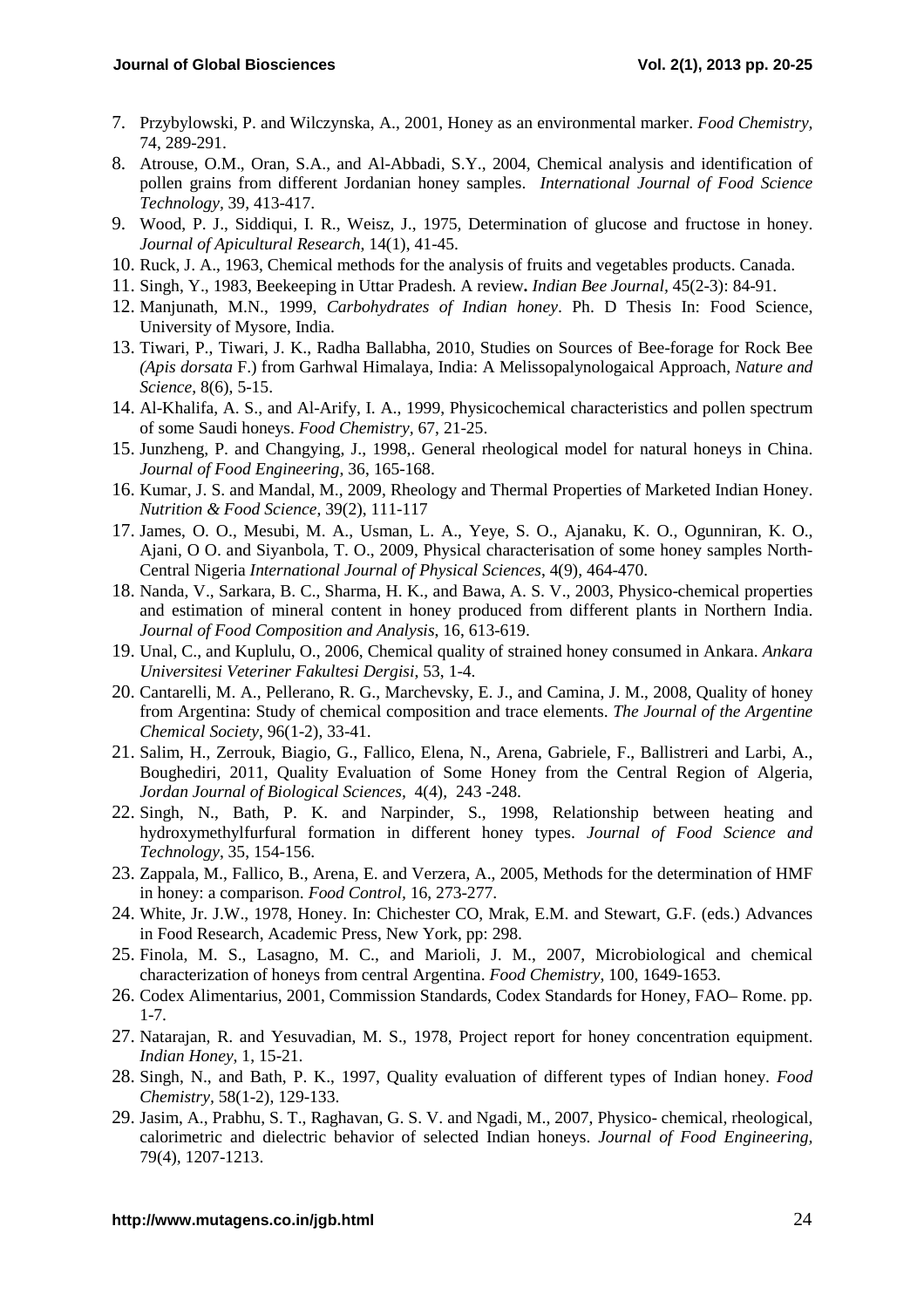- 7. Przybylowski, P. and Wilczynska, A., 2001, Honey as an environmental marker. *Food Chemistry,* 74, 289-291.
- 8. Atrouse, O.M., Oran, S.A., and Al-Abbadi, S.Y., 2004, Chemical analysis and identification of pollen grains from different Jordanian honey samples. *International Journal of Food Science Technology,* 39, 413-417.
- 9. Wood, P. J., Siddiqui, I. R., Weisz, J., 1975, Determination of glucose and fructose in honey. *Journal of Apicultural Research*, 14(1), 41-45.
- 10. Ruck, J. A., 1963, Chemical methods for the analysis of fruits and vegetables products. Canada.
- 11. Singh, Y., 1983, Beekeeping in Uttar Pradesh. A review**.** *Indian Bee Journal,* 45(2-3): 84-91.
- 12. Manjunath, M.N., 1999, *Carbohydrates of Indian honey*. Ph. D Thesis In: Food Science, University of Mysore, India.
- 13. Tiwari, P., Tiwari, J. K., Radha Ballabha, 2010, Studies on Sources of Bee-forage for Rock Bee *(Apis dorsata* F.) from Garhwal Himalaya, India: A Melissopalynologaical Approach, *Nature and Science*, 8(6), 5-15.
- 14. Al-Khalifa, A. S., and Al-Arify, I. A., 1999, Physicochemical characteristics and pollen spectrum of some Saudi honeys. *Food Chemistry,* 67, 21-25.
- 15. Junzheng, P. and Changying, J., 1998,. General rheological model for natural honeys in China. *Journal of Food Engineering*, 36, 165-168.
- 16. Kumar, J. S. and Mandal, M., 2009, Rheology and Thermal Properties of Marketed Indian Honey. *Nutrition & Food Science*, 39(2), 111-117
- 17. James, O. O., Mesubi, M. A., Usman, L. A., Yeye, S. O., Ajanaku, K. O., Ogunniran, K. O., Ajani, O O. and Siyanbola, T. O., 2009, Physical characterisation of some honey samples North-Central Nigeria *International Journal of Physical Sciences*, 4(9), 464-470.
- 18. Nanda, V., Sarkara, B. C., Sharma, H. K., and Bawa, A. S. V., 2003, Physico-chemical properties and estimation of mineral content in honey produced from different plants in Northern India. *Journal of Food Composition and Analysis*, 16, 613-619.
- 19. Unal, C., and Kuplulu, O., 2006, Chemical quality of strained honey consumed in Ankara. *Ankara Universitesi Veteriner Fakultesi Dergisi*, 53, 1-4.
- 20. Cantarelli, M. A., Pellerano, R. G., Marchevsky, E. J., and Camina, J. M., 2008, Quality of honey from Argentina: Study of chemical composition and trace elements. *The Journal of the Argentine Chemical Society*, 96(1-2), 33-41.
- 21. Salim, H., Zerrouk, Biagio, G., Fallico, Elena, N., Arena, Gabriele, F., Ballistreri and Larbi, A., Boughediri, 2011, Quality Evaluation of Some Honey from the Central Region of Algeria, *Jordan Journal of Biological Sciences,* 4(4), 243 -248.
- 22. Singh, N., Bath, P. K. and Narpinder, S., 1998, Relationship between heating and hydroxymethylfurfural formation in different honey types. *Journal of Food Science and Technology*, 35, 154-156.
- 23. Zappala, M., Fallico, B., Arena, E. and Verzera, A., 2005, Methods for the determination of HMF in honey: a comparison. *Food Control,* 16, 273-277.
- 24. White, Jr. J.W., 1978, Honey. In: Chichester CO, Mrak, E.M. and Stewart, G.F. (eds.) Advances in Food Research, Academic Press, New York, pp: 298.
- 25. Finola, M. S., Lasagno, M. C., and Marioli, J. M., 2007, Microbiological and chemical characterization of honeys from central Argentina. *Food Chemistry*, 100, 1649-1653.
- 26. Codex Alimentarius, 2001, Commission Standards, Codex Standards for Honey, FAO– Rome. pp. 1-7.
- 27. Natarajan, R. and Yesuvadian, M. S., 1978, Project report for honey concentration equipment. *Indian Honey*, 1, 15-21.
- 28. Singh, N., and Bath, P. K., 1997, Quality evaluation of different types of Indian honey. *Food Chemistry,* 58(1-2), 129-133.
- 29. Jasim, A., Prabhu, S. T., Raghavan, G. S. V. and Ngadi, M., 2007, Physico- chemical, rheological, calorimetric and dielectric behavior of selected Indian honeys. *Journal of Food Engineering,* 79(4), 1207-1213.